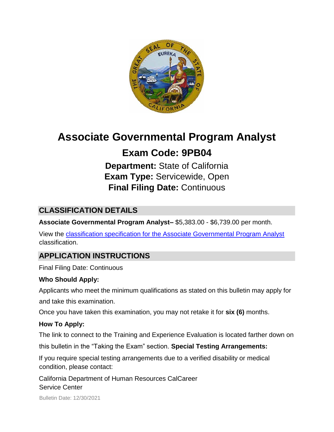

# **Associate Governmental Program Analyst**

# **Exam Code: 9PB04**

**Department:** State of California **Exam Type:** Servicewide, Open **Final Filing Date:** Continuous

# **CLASSIFICATION DETAILS**

**Associate Governmental Program Analyst–** \$5,383.00 - \$6,739.00 per month.

View the [classification specification for the Associate Governmental Program Analyst](http://www.calhr.ca.gov/state-hr-professionals/pages/5393.aspx) classification.

# **APPLICATION INSTRUCTIONS**

Final Filing Date: Continuous

# **Who Should Apply:**

Applicants who meet the minimum qualifications as stated on this bulletin may apply for and take this examination.

Once you have taken this examination, you may not retake it for **six (6)** months.

# **How To Apply:**

The link to connect to the Training and Experience Evaluation is located farther down on

this bulletin in the "Taking the Exam" section. **Special Testing Arrangements:** 

If you require special testing arrangements due to a verified disability or medical condition, please contact:

California Department of Human Resources CalCareer Service Center

Bulletin Date: 12/30/2021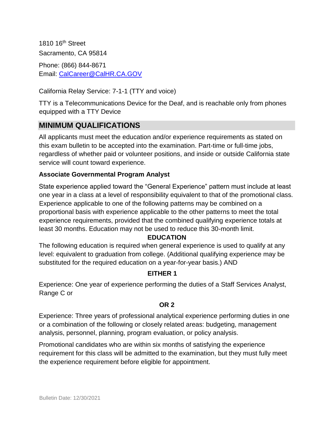1810 16th Street Sacramento, CA 95814 Phone: (866) 844-8671 Email: CalCareer@CalHR.CA.GOV

California Relay Service: 7-1-1 (TTY and voice)

TTY is a Telecommunications Device for the Deaf, and is reachable only from phones equipped with a TTY Device

# **MINIMUM QUALIFICATIONS**

All applicants must meet the education and/or experience requirements as stated on this exam bulletin to be accepted into the examination. Part-time or full-time jobs, regardless of whether paid or volunteer positions, and inside or outside California state service will count toward experience.

#### **Associate Governmental Program Analyst**

State experience applied toward the "General Experience" pattern must include at least one year in a class at a level of responsibility equivalent to that of the promotional class. Experience applicable to one of the following patterns may be combined on a proportional basis with experience applicable to the other patterns to meet the total experience requirements, provided that the combined qualifying experience totals at least 30 months. Education may not be used to reduce this 30-month limit.

#### **EDUCATION**

The following education is required when general experience is used to qualify at any level: equivalent to graduation from college. (Additional qualifying experience may be substituted for the required education on a year-for-year basis.) AND

#### **EITHER 1**

Experience: One year of experience performing the duties of a Staff Services Analyst, Range C or

#### **OR 2**

Experience: Three years of professional analytical experience performing duties in one or a combination of the following or closely related areas: budgeting, management analysis, personnel, planning, program evaluation, or policy analysis.

Promotional candidates who are within six months of satisfying the experience requirement for this class will be admitted to the examination, but they must fully meet the experience requirement before eligible for appointment.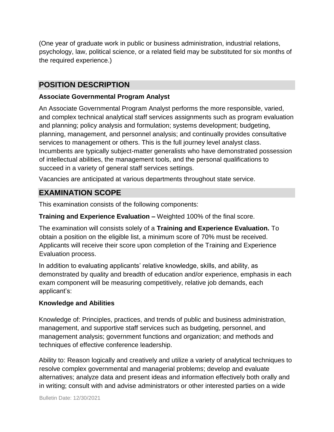(One year of graduate work in public or business administration, industrial relations, psychology, law, political science, or a related field may be substituted for six months of the required experience.)

# **POSITION DESCRIPTION**

#### **Associate Governmental Program Analyst**

An Associate Governmental Program Analyst performs the more responsible, varied, and complex technical analytical staff services assignments such as program evaluation and planning; policy analysis and formulation; systems development; budgeting, planning, management, and personnel analysis; and continually provides consultative services to management or others. This is the full journey level analyst class. Incumbents are typically subject-matter generalists who have demonstrated possession of intellectual abilities, the management tools, and the personal qualifications to succeed in a variety of general staff services settings.

Vacancies are anticipated at various departments throughout state service.

### **EXAMINATION SCOPE**

This examination consists of the following components:

#### **Training and Experience Evaluation –** Weighted 100% of the final score.

The examination will consists solely of a **Training and Experience Evaluation.** To obtain a position on the eligible list, a minimum score of 70% must be received. Applicants will receive their score upon completion of the Training and Experience Evaluation process.

In addition to evaluating applicants' relative knowledge, skills, and ability, as demonstrated by quality and breadth of education and/or experience, emphasis in each exam component will be measuring competitively, relative job demands, each applicant's:

#### **Knowledge and Abilities**

Knowledge of: Principles, practices, and trends of public and business administration, management, and supportive staff services such as budgeting, personnel, and management analysis; government functions and organization; and methods and techniques of effective conference leadership.

Ability to: Reason logically and creatively and utilize a variety of analytical techniques to resolve complex governmental and managerial problems; develop and evaluate alternatives; analyze data and present ideas and information effectively both orally and in writing; consult with and advise administrators or other interested parties on a wide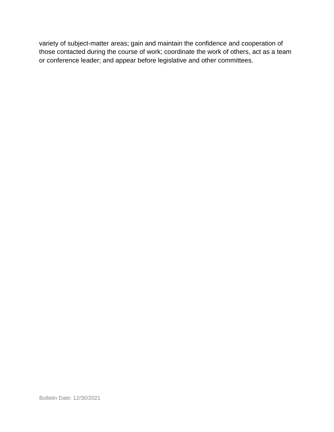variety of subject-matter areas; gain and maintain the confidence and cooperation of those contacted during the course of work; coordinate the work of others, act as a team or conference leader; and appear before legislative and other committees.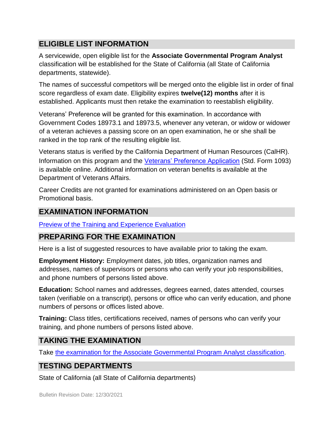# **ELIGIBLE LIST INFORMATION**

A servicewide, open eligible list for the **Associate Governmental Program Analyst**  classification will be established for the State of California (all State of California departments, statewide).

The names of successful competitors will be merged onto the eligible list in order of final score regardless of exam date. Eligibility expires **twelve(12) months** after it is established. Applicants must then retake the examination to reestablish eligibility.

Veterans' Preference will be granted for this examination. In accordance with Government Codes 18973.1 and 18973.5, whenever any veteran, or widow or widower of a veteran achieves a passing score on an open examination, he or she shall be ranked in the top rank of the resulting eligible list.

Veterans status is verified by the California Department of Human Resources (CalHR). Information on this program and the [Veterans' Preference Application](https://www.jobs.ca.gov/CalHRPublic/Landing/Jobs/VeteransInformation.aspx) (Std. Form 1093) is available online. Additional information on veteran benefits is available at the Department of Veterans Affairs.

Career Credits are not granted for examinations administered on an Open basis or Promotional basis.

# **EXAMINATION INFORMATION**

[Preview](https://jobs.ca.gov/JOBSGEN/9PB04A.PDF) [of the](https://jobs.ca.gov/JOBSGEN/9PB04A.PDF) [Training and Experience Evaluation](https://jobs.ca.gov/JOBSGEN/9PB04A.PDF)

# **PREPARING FOR THE EXAMINATION**

Here is a list of suggested resources to have available prior to taking the exam.

**Employment History:** Employment dates, job titles, organization names and addresses, names of supervisors or persons who can verify your job responsibilities, and phone numbers of persons listed above.

**Education:** School names and addresses, degrees earned, dates attended, courses taken (verifiable on a transcript), persons or office who can verify education, and phone numbers of persons or offices listed above.

**Training:** Class titles, certifications received, names of persons who can verify your training, and phone numbers of persons listed above.

# **TAKING THE EXAMINATION**

Take [the examination for the Associate Governmental Program Analyst](https://exams.spb.ca.gov/exams/agpa/index.cfm) [classification.](https://exams.spb.ca.gov/exams/agpa/index.cfm)

# **TESTING DEPARTMENTS**

State of California (all State of California departments)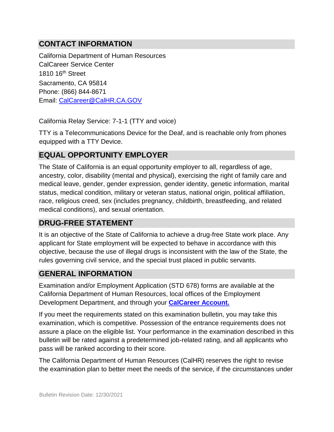# **CONTACT INFORMATION**

California Department of Human Resources CalCareer Service Center 1810 16th Street Sacramento, CA 95814 Phone: (866) 844-8671 Email: CalCareer@CalHR.CA.GOV

California Relay Service: 7-1-1 (TTY and voice)

TTY is a Telecommunications Device for the Deaf, and is reachable only from phones equipped with a TTY Device.

# **EQUAL OPPORTUNITY EMPLOYER**

The State of California is an equal opportunity employer to all, regardless of age, ancestry, color, disability (mental and physical), exercising the right of family care and medical leave, gender, gender expression, gender identity, genetic information, marital status, medical condition, military or veteran status, national origin, political affiliation, race, religious creed, sex (includes pregnancy, childbirth, breastfeeding, and related medical conditions), and sexual orientation.

# **DRUG-FREE STATEMENT**

It is an objective of the State of California to achieve a drug-free State work place. Any applicant for State employment will be expected to behave in accordance with this objective, because the use of illegal drugs is inconsistent with the law of the State, the rules governing civil service, and the special trust placed in public servants.

# **GENERAL INFORMATION**

Examination and/or Employment Application (STD 678) forms are available at the California Department of Human Resources, local offices of the Employment Development Department, and through your **[CalCareer Account.](http://www.jobs.ca.gov/)**

If you meet the requirements stated on this examination bulletin, you may take this examination, which is competitive. Possession of the entrance requirements does not assure a place on the eligible list. Your performance in the examination described in this bulletin will be rated against a predetermined job-related rating, and all applicants who pass will be ranked according to their score.

The California Department of Human Resources (CalHR) reserves the right to revise the examination plan to better meet the needs of the service, if the circumstances under